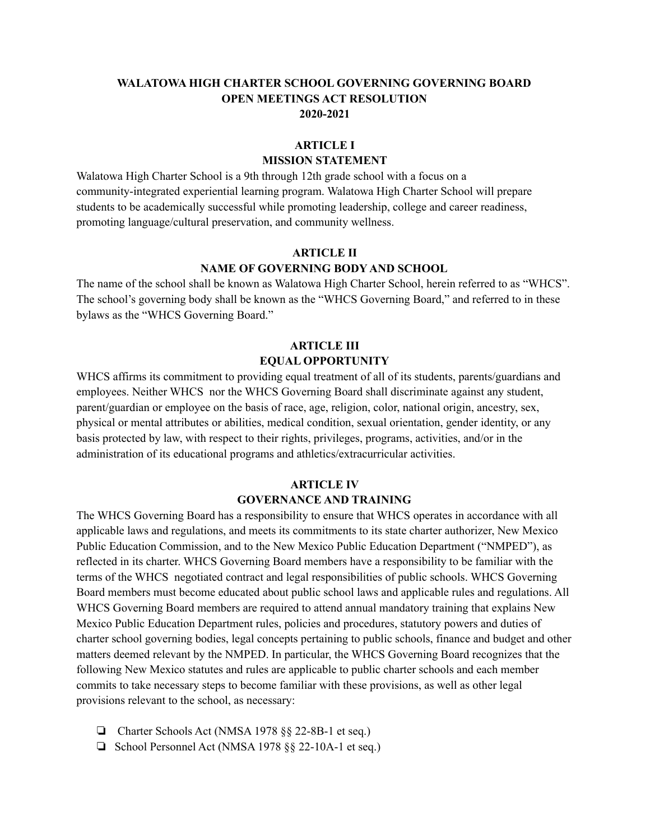## **WALATOWA HIGH CHARTER SCHOOL GOVERNING GOVERNING BOARD OPEN MEETINGS ACT RESOLUTION 2020-2021**

### **ARTICLE I**

## **MISSION STATEMENT**

Walatowa High Charter School is a 9th through 12th grade school with a focus on a community-integrated experiential learning program. Walatowa High Charter School will prepare students to be academically successful while promoting leadership, college and career readiness, promoting language/cultural preservation, and community wellness.

# **ARTICLE II NAME OF GOVERNING BODY AND SCHOOL**

The name of the school shall be known as Walatowa High Charter School, herein referred to as "WHCS". The school's governing body shall be known as the "WHCS Governing Board," and referred to in these bylaws as the "WHCS Governing Board."

# **ARTICLE III EQUAL OPPORTUNITY**

WHCS affirms its commitment to providing equal treatment of all of its students, parents/guardians and employees. Neither WHCS nor the WHCS Governing Board shall discriminate against any student, parent/guardian or employee on the basis of race, age, religion, color, national origin, ancestry, sex, physical or mental attributes or abilities, medical condition, sexual orientation, gender identity, or any basis protected by law, with respect to their rights, privileges, programs, activities, and/or in the administration of its educational programs and athletics/extracurricular activities.

# **ARTICLE IV GOVERNANCE AND TRAINING**

The WHCS Governing Board has a responsibility to ensure that WHCS operates in accordance with all applicable laws and regulations, and meets its commitments to its state charter authorizer, New Mexico Public Education Commission, and to the New Mexico Public Education Department ("NMPED"), as reflected in its charter. WHCS Governing Board members have a responsibility to be familiar with the terms of the WHCS negotiated contract and legal responsibilities of public schools. WHCS Governing Board members must become educated about public school laws and applicable rules and regulations. All WHCS Governing Board members are required to attend annual mandatory training that explains New Mexico Public Education Department rules, policies and procedures, statutory powers and duties of charter school governing bodies, legal concepts pertaining to public schools, finance and budget and other matters deemed relevant by the NMPED. In particular, the WHCS Governing Board recognizes that the following New Mexico statutes and rules are applicable to public charter schools and each member commits to take necessary steps to become familiar with these provisions, as well as other legal provisions relevant to the school, as necessary:

- ❏ Charter Schools Act (NMSA 1978 §§ 22-8B-1 et seq.)
- ❏ School Personnel Act (NMSA 1978 §§ 22-10A-1 et seq.)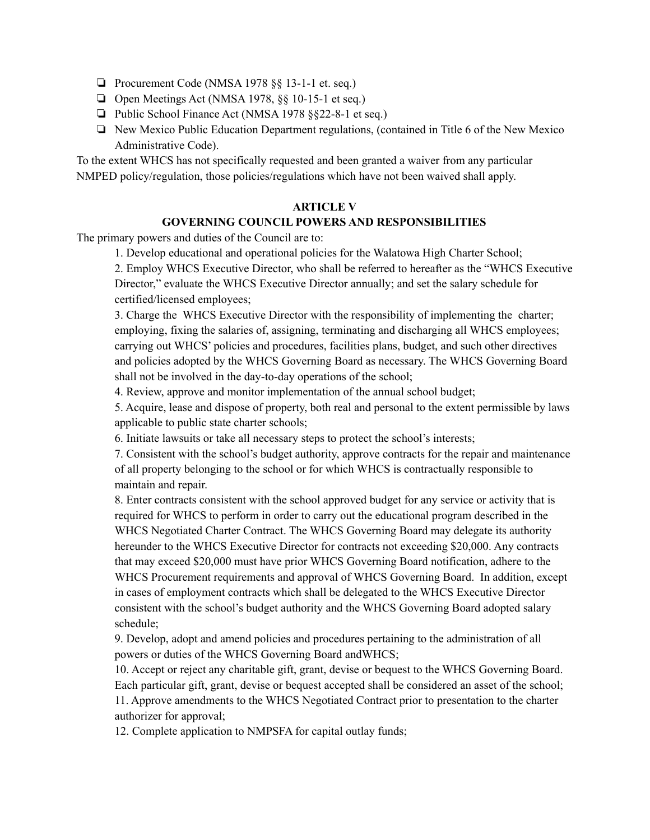- ❏ Procurement Code (NMSA 1978 §§ 13-1-1 et. seq.)
- ❏ Open Meetings Act (NMSA 1978, §§ 10-15-1 et seq.)
- ❏ Public School Finance Act (NMSA 1978 §§22-8-1 et seq.)
- ❏ New Mexico Public Education Department regulations, (contained in Title 6 of the New Mexico Administrative Code).

To the extent WHCS has not specifically requested and been granted a waiver from any particular NMPED policy/regulation, those policies/regulations which have not been waived shall apply.

#### **ARTICLE V**

### **GOVERNING COUNCIL POWERS AND RESPONSIBILITIES**

The primary powers and duties of the Council are to:

1. Develop educational and operational policies for the Walatowa High Charter School;

2. Employ WHCS Executive Director, who shall be referred to hereafter as the "WHCS Executive Director," evaluate the WHCS Executive Director annually; and set the salary schedule for certified/licensed employees;

3. Charge the WHCS Executive Director with the responsibility of implementing the charter; employing, fixing the salaries of, assigning, terminating and discharging all WHCS employees; carrying out WHCS' policies and procedures, facilities plans, budget, and such other directives and policies adopted by the WHCS Governing Board as necessary. The WHCS Governing Board shall not be involved in the day-to-day operations of the school;

4. Review, approve and monitor implementation of the annual school budget;

5. Acquire, lease and dispose of property, both real and personal to the extent permissible by laws applicable to public state charter schools;

6. Initiate lawsuits or take all necessary steps to protect the school's interests;

7. Consistent with the school's budget authority, approve contracts for the repair and maintenance of all property belonging to the school or for which WHCS is contractually responsible to maintain and repair.

8. Enter contracts consistent with the school approved budget for any service or activity that is required for WHCS to perform in order to carry out the educational program described in the WHCS Negotiated Charter Contract. The WHCS Governing Board may delegate its authority hereunder to the WHCS Executive Director for contracts not exceeding \$20,000. Any contracts that may exceed \$20,000 must have prior WHCS Governing Board notification, adhere to the WHCS Procurement requirements and approval of WHCS Governing Board. In addition, except in cases of employment contracts which shall be delegated to the WHCS Executive Director consistent with the school's budget authority and the WHCS Governing Board adopted salary schedule;

9. Develop, adopt and amend policies and procedures pertaining to the administration of all powers or duties of the WHCS Governing Board andWHCS;

10. Accept or reject any charitable gift, grant, devise or bequest to the WHCS Governing Board. Each particular gift, grant, devise or bequest accepted shall be considered an asset of the school; 11. Approve amendments to the WHCS Negotiated Contract prior to presentation to the charter authorizer for approval;

12. Complete application to NMPSFA for capital outlay funds;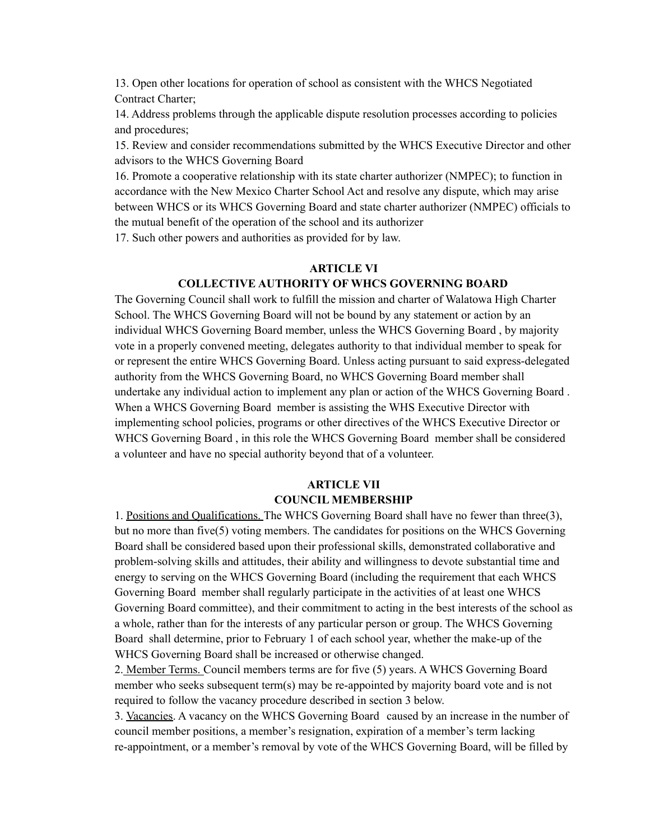13. Open other locations for operation of school as consistent with the WHCS Negotiated Contract Charter;

14. Address problems through the applicable dispute resolution processes according to policies and procedures;

15. Review and consider recommendations submitted by the WHCS Executive Director and other advisors to the WHCS Governing Board

16. Promote a cooperative relationship with its state charter authorizer (NMPEC); to function in accordance with the New Mexico Charter School Act and resolve any dispute, which may arise between WHCS or its WHCS Governing Board and state charter authorizer (NMPEC) officials to the mutual benefit of the operation of the school and its authorizer

17. Such other powers and authorities as provided for by law.

#### **ARTICLE VI**

### **COLLECTIVE AUTHORITY OF WHCS GOVERNING BOARD**

The Governing Council shall work to fulfill the mission and charter of Walatowa High Charter School. The WHCS Governing Board will not be bound by any statement or action by an individual WHCS Governing Board member, unless the WHCS Governing Board , by majority vote in a properly convened meeting, delegates authority to that individual member to speak for or represent the entire WHCS Governing Board. Unless acting pursuant to said express-delegated authority from the WHCS Governing Board, no WHCS Governing Board member shall undertake any individual action to implement any plan or action of the WHCS Governing Board . When a WHCS Governing Board member is assisting the WHS Executive Director with implementing school policies, programs or other directives of the WHCS Executive Director or WHCS Governing Board , in this role the WHCS Governing Board member shall be considered a volunteer and have no special authority beyond that of a volunteer.

# **ARTICLE VII COUNCIL MEMBERSHIP**

1. Positions and Qualifications. The WHCS Governing Board shall have no fewer than three(3), but no more than five(5) voting members. The candidates for positions on the WHCS Governing Board shall be considered based upon their professional skills, demonstrated collaborative and problem-solving skills and attitudes, their ability and willingness to devote substantial time and energy to serving on the WHCS Governing Board (including the requirement that each WHCS Governing Board member shall regularly participate in the activities of at least one WHCS Governing Board committee), and their commitment to acting in the best interests of the school as a whole, rather than for the interests of any particular person or group. The WHCS Governing Board shall determine, prior to February 1 of each school year, whether the make-up of the WHCS Governing Board shall be increased or otherwise changed.

2. Member Terms. Council members terms are for five (5) years. A WHCS Governing Board member who seeks subsequent term(s) may be re-appointed by majority board vote and is not required to follow the vacancy procedure described in section 3 below.

3. Vacancies. A vacancy on the WHCS Governing Board caused by an increase in the number of council member positions, a member's resignation, expiration of a member's term lacking re-appointment, or a member's removal by vote of the WHCS Governing Board, will be filled by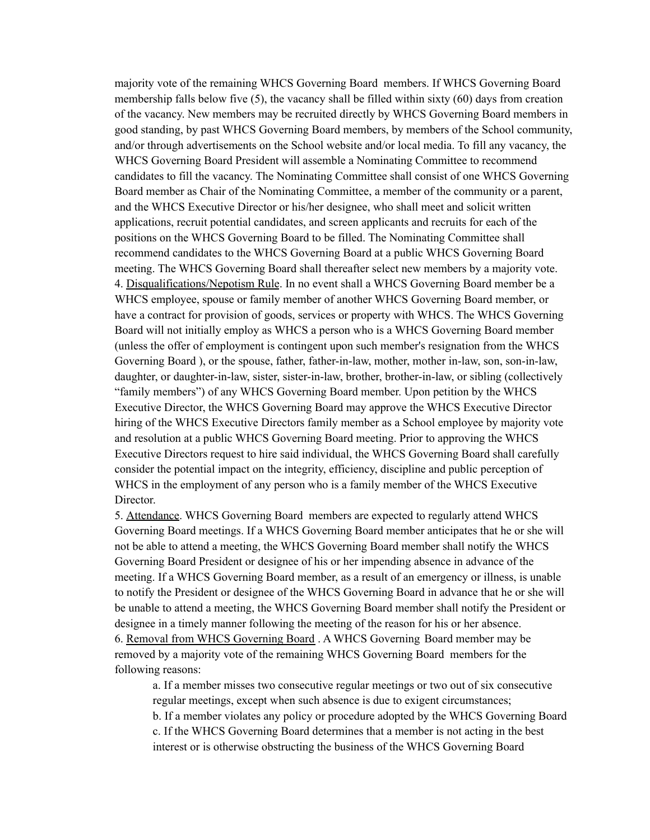majority vote of the remaining WHCS Governing Board members. If WHCS Governing Board membership falls below five (5), the vacancy shall be filled within sixty (60) days from creation of the vacancy. New members may be recruited directly by WHCS Governing Board members in good standing, by past WHCS Governing Board members, by members of the School community, and/or through advertisements on the School website and/or local media. To fill any vacancy, the WHCS Governing Board President will assemble a Nominating Committee to recommend candidates to fill the vacancy. The Nominating Committee shall consist of one WHCS Governing Board member as Chair of the Nominating Committee, a member of the community or a parent, and the WHCS Executive Director or his/her designee, who shall meet and solicit written applications, recruit potential candidates, and screen applicants and recruits for each of the positions on the WHCS Governing Board to be filled. The Nominating Committee shall recommend candidates to the WHCS Governing Board at a public WHCS Governing Board meeting. The WHCS Governing Board shall thereafter select new members by a majority vote. 4. Disqualifications/Nepotism Rule. In no event shall a WHCS Governing Board member be a WHCS employee, spouse or family member of another WHCS Governing Board member, or have a contract for provision of goods, services or property with WHCS. The WHCS Governing Board will not initially employ as WHCS a person who is a WHCS Governing Board member (unless the offer of employment is contingent upon such member's resignation from the WHCS Governing Board ), or the spouse, father, father-in-law, mother, mother in-law, son, son-in-law, daughter, or daughter-in-law, sister, sister-in-law, brother, brother-in-law, or sibling (collectively "family members") of any WHCS Governing Board member. Upon petition by the WHCS Executive Director, the WHCS Governing Board may approve the WHCS Executive Director hiring of the WHCS Executive Directors family member as a School employee by majority vote and resolution at a public WHCS Governing Board meeting. Prior to approving the WHCS Executive Directors request to hire said individual, the WHCS Governing Board shall carefully consider the potential impact on the integrity, efficiency, discipline and public perception of WHCS in the employment of any person who is a family member of the WHCS Executive Director.

5. Attendance. WHCS Governing Board members are expected to regularly attend WHCS Governing Board meetings. If a WHCS Governing Board member anticipates that he or she will not be able to attend a meeting, the WHCS Governing Board member shall notify the WHCS Governing Board President or designee of his or her impending absence in advance of the meeting. If a WHCS Governing Board member, as a result of an emergency or illness, is unable to notify the President or designee of the WHCS Governing Board in advance that he or she will be unable to attend a meeting, the WHCS Governing Board member shall notify the President or designee in a timely manner following the meeting of the reason for his or her absence. 6. Removal from WHCS Governing Board . A WHCS Governing Board member may be removed by a majority vote of the remaining WHCS Governing Board members for the following reasons:

a. If a member misses two consecutive regular meetings or two out of six consecutive regular meetings, except when such absence is due to exigent circumstances; b. If a member violates any policy or procedure adopted by the WHCS Governing Board c. If the WHCS Governing Board determines that a member is not acting in the best interest or is otherwise obstructing the business of the WHCS Governing Board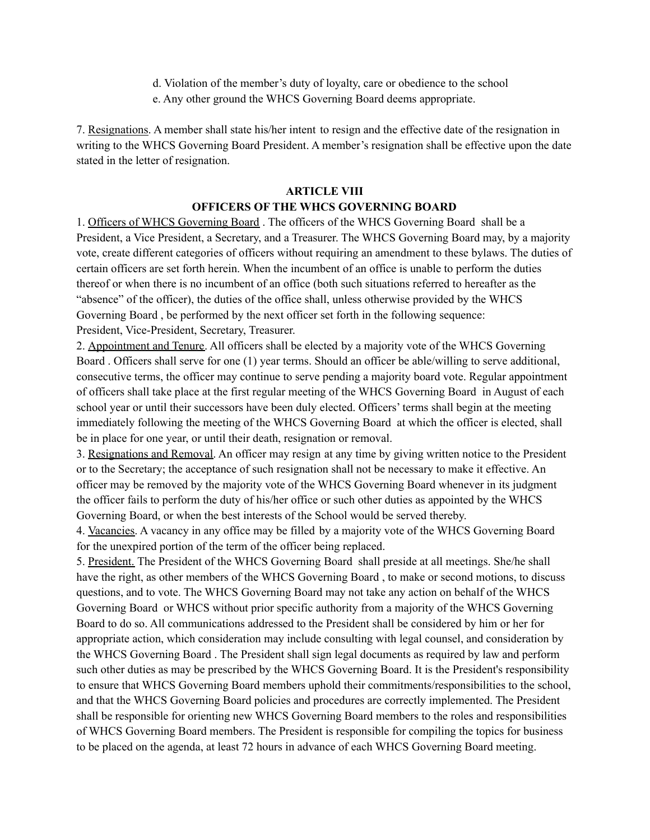- d. Violation of the member's duty of loyalty, care or obedience to the school
- e. Any other ground the WHCS Governing Board deems appropriate.

7. Resignations. A member shall state his/her intent to resign and the effective date of the resignation in writing to the WHCS Governing Board President. A member's resignation shall be effective upon the date stated in the letter of resignation.

#### **ARTICLE VIII**

### **OFFICERS OF THE WHCS GOVERNING BOARD**

1. Officers of WHCS Governing Board . The officers of the WHCS Governing Board shall be a President, a Vice President, a Secretary, and a Treasurer. The WHCS Governing Board may, by a majority vote, create different categories of officers without requiring an amendment to these bylaws. The duties of certain officers are set forth herein. When the incumbent of an office is unable to perform the duties thereof or when there is no incumbent of an office (both such situations referred to hereafter as the "absence" of the officer), the duties of the office shall, unless otherwise provided by the WHCS Governing Board , be performed by the next officer set forth in the following sequence: President, Vice-President, Secretary, Treasurer.

2. Appointment and Tenure. All officers shall be elected by a majority vote of the WHCS Governing Board . Officers shall serve for one (1) year terms. Should an officer be able/willing to serve additional, consecutive terms, the officer may continue to serve pending a majority board vote. Regular appointment of officers shall take place at the first regular meeting of the WHCS Governing Board in August of each school year or until their successors have been duly elected. Officers' terms shall begin at the meeting immediately following the meeting of the WHCS Governing Board at which the officer is elected, shall be in place for one year, or until their death, resignation or removal.

3. Resignations and Removal. An officer may resign at any time by giving written notice to the President or to the Secretary; the acceptance of such resignation shall not be necessary to make it effective. An officer may be removed by the majority vote of the WHCS Governing Board whenever in its judgment the officer fails to perform the duty of his/her office or such other duties as appointed by the WHCS Governing Board, or when the best interests of the School would be served thereby.

4. Vacancies. A vacancy in any office may be filled by a majority vote of the WHCS Governing Board for the unexpired portion of the term of the officer being replaced.

5. President. The President of the WHCS Governing Board shall preside at all meetings. She/he shall have the right, as other members of the WHCS Governing Board , to make or second motions, to discuss questions, and to vote. The WHCS Governing Board may not take any action on behalf of the WHCS Governing Board or WHCS without prior specific authority from a majority of the WHCS Governing Board to do so. All communications addressed to the President shall be considered by him or her for appropriate action, which consideration may include consulting with legal counsel, and consideration by the WHCS Governing Board . The President shall sign legal documents as required by law and perform such other duties as may be prescribed by the WHCS Governing Board. It is the President's responsibility to ensure that WHCS Governing Board members uphold their commitments/responsibilities to the school, and that the WHCS Governing Board policies and procedures are correctly implemented. The President shall be responsible for orienting new WHCS Governing Board members to the roles and responsibilities of WHCS Governing Board members. The President is responsible for compiling the topics for business to be placed on the agenda, at least 72 hours in advance of each WHCS Governing Board meeting.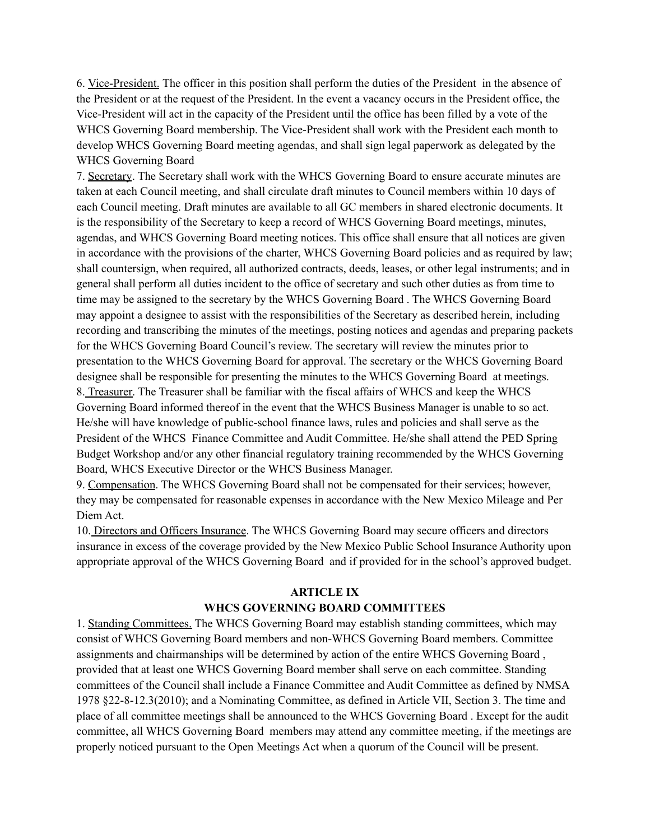6. Vice-President. The officer in this position shall perform the duties of the President in the absence of the President or at the request of the President. In the event a vacancy occurs in the President office, the Vice-President will act in the capacity of the President until the office has been filled by a vote of the WHCS Governing Board membership. The Vice-President shall work with the President each month to develop WHCS Governing Board meeting agendas, and shall sign legal paperwork as delegated by the WHCS Governing Board

7. Secretary. The Secretary shall work with the WHCS Governing Board to ensure accurate minutes are taken at each Council meeting, and shall circulate draft minutes to Council members within 10 days of each Council meeting. Draft minutes are available to all GC members in shared electronic documents. It is the responsibility of the Secretary to keep a record of WHCS Governing Board meetings, minutes, agendas, and WHCS Governing Board meeting notices. This office shall ensure that all notices are given in accordance with the provisions of the charter, WHCS Governing Board policies and as required by law; shall countersign, when required, all authorized contracts, deeds, leases, or other legal instruments; and in general shall perform all duties incident to the office of secretary and such other duties as from time to time may be assigned to the secretary by the WHCS Governing Board . The WHCS Governing Board may appoint a designee to assist with the responsibilities of the Secretary as described herein, including recording and transcribing the minutes of the meetings, posting notices and agendas and preparing packets for the WHCS Governing Board Council's review. The secretary will review the minutes prior to presentation to the WHCS Governing Board for approval. The secretary or the WHCS Governing Board designee shall be responsible for presenting the minutes to the WHCS Governing Board at meetings. 8. Treasurer. The Treasurer shall be familiar with the fiscal affairs of WHCS and keep the WHCS Governing Board informed thereof in the event that the WHCS Business Manager is unable to so act. He/she will have knowledge of public-school finance laws, rules and policies and shall serve as the President of the WHCS Finance Committee and Audit Committee. He/she shall attend the PED Spring Budget Workshop and/or any other financial regulatory training recommended by the WHCS Governing Board, WHCS Executive Director or the WHCS Business Manager.

9. Compensation. The WHCS Governing Board shall not be compensated for their services; however, they may be compensated for reasonable expenses in accordance with the New Mexico Mileage and Per Diem Act.

10. Directors and Officers Insurance. The WHCS Governing Board may secure officers and directors insurance in excess of the coverage provided by the New Mexico Public School Insurance Authority upon appropriate approval of the WHCS Governing Board and if provided for in the school's approved budget.

# **ARTICLE IX WHCS GOVERNING BOARD COMMITTEES**

1. Standing Committees. The WHCS Governing Board may establish standing committees, which may consist of WHCS Governing Board members and non-WHCS Governing Board members. Committee assignments and chairmanships will be determined by action of the entire WHCS Governing Board , provided that at least one WHCS Governing Board member shall serve on each committee. Standing committees of the Council shall include a Finance Committee and Audit Committee as defined by NMSA 1978 §22-8-12.3(2010); and a Nominating Committee, as defined in Article VII, Section 3. The time and place of all committee meetings shall be announced to the WHCS Governing Board . Except for the audit committee, all WHCS Governing Board members may attend any committee meeting, if the meetings are properly noticed pursuant to the Open Meetings Act when a quorum of the Council will be present.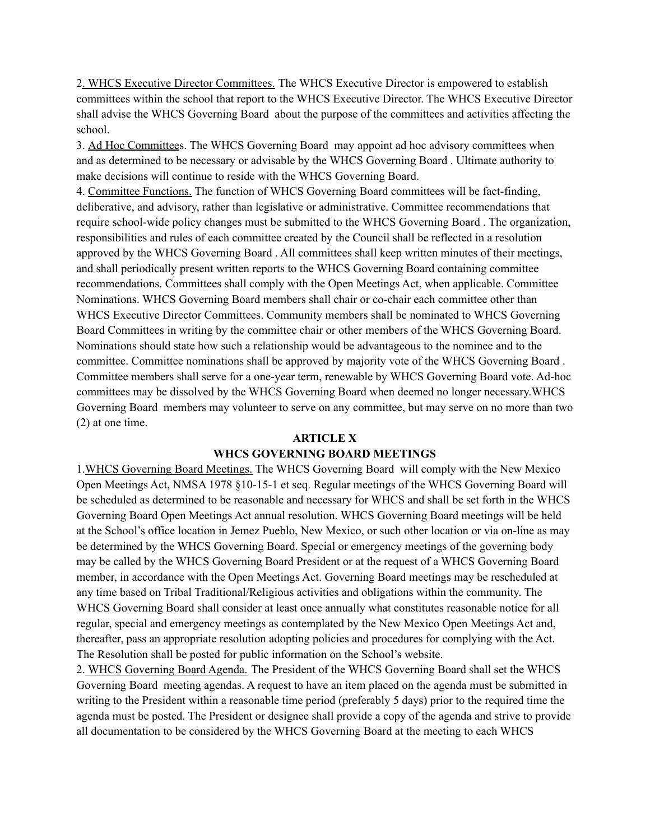2. WHCS Executive Director Committees. The WHCS Executive Director is empowered to establish committees within the school that report to the WHCS Executive Director. The WHCS Executive Director shall advise the WHCS Governing Board about the purpose of the committees and activities affecting the school.

3. Ad Hoc Committees. The WHCS Governing Board may appoint ad hoc advisory committees when and as determined to be necessary or advisable by the WHCS Governing Board . Ultimate authority to make decisions will continue to reside with the WHCS Governing Board.

4. Committee Functions. The function of WHCS Governing Board committees will be fact-finding, deliberative, and advisory, rather than legislative or administrative. Committee recommendations that require school-wide policy changes must be submitted to the WHCS Governing Board . The organization, responsibilities and rules of each committee created by the Council shall be reflected in a resolution approved by the WHCS Governing Board . All committees shall keep written minutes of their meetings, and shall periodically present written reports to the WHCS Governing Board containing committee recommendations. Committees shall comply with the Open Meetings Act, when applicable. Committee Nominations. WHCS Governing Board members shall chair or co-chair each committee other than WHCS Executive Director Committees. Community members shall be nominated to WHCS Governing Board Committees in writing by the committee chair or other members of the WHCS Governing Board. Nominations should state how such a relationship would be advantageous to the nominee and to the committee. Committee nominations shall be approved by majority vote of the WHCS Governing Board . Committee members shall serve for a one-year term, renewable by WHCS Governing Board vote. Ad-hoc committees may be dissolved by the WHCS Governing Board when deemed no longer necessary.WHCS Governing Board members may volunteer to serve on any committee, but may serve on no more than two (2) at one time.

# **ARTICLE X WHCS GOVERNING BOARD MEETINGS**

1.WHCS Governing Board Meetings. The WHCS Governing Board will comply with the New Mexico Open Meetings Act, NMSA 1978 §10-15-1 et seq. Regular meetings of the WHCS Governing Board will be scheduled as determined to be reasonable and necessary for WHCS and shall be set forth in the WHCS Governing Board Open Meetings Act annual resolution. WHCS Governing Board meetings will be held at the School's office location in Jemez Pueblo, New Mexico, or such other location or via on-line as may be determined by the WHCS Governing Board. Special or emergency meetings of the governing body may be called by the WHCS Governing Board President or at the request of a WHCS Governing Board member, in accordance with the Open Meetings Act. Governing Board meetings may be rescheduled at any time based on Tribal Traditional/Religious activities and obligations within the community. The WHCS Governing Board shall consider at least once annually what constitutes reasonable notice for all regular, special and emergency meetings as contemplated by the New Mexico Open Meetings Act and, thereafter, pass an appropriate resolution adopting policies and procedures for complying with the Act. The Resolution shall be posted for public information on the School's website.

2. WHCS Governing Board Agenda. The President of the WHCS Governing Board shall set the WHCS Governing Board meeting agendas. A request to have an item placed on the agenda must be submitted in writing to the President within a reasonable time period (preferably 5 days) prior to the required time the agenda must be posted. The President or designee shall provide a copy of the agenda and strive to provide all documentation to be considered by the WHCS Governing Board at the meeting to each WHCS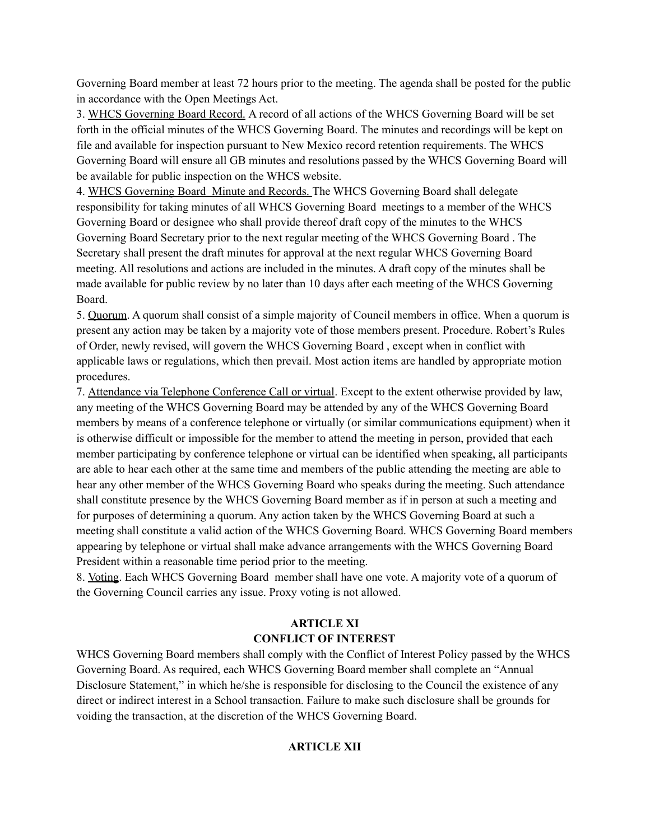Governing Board member at least 72 hours prior to the meeting. The agenda shall be posted for the public in accordance with the Open Meetings Act.

3. WHCS Governing Board Record. A record of all actions of the WHCS Governing Board will be set forth in the official minutes of the WHCS Governing Board. The minutes and recordings will be kept on file and available for inspection pursuant to New Mexico record retention requirements. The WHCS Governing Board will ensure all GB minutes and resolutions passed by the WHCS Governing Board will be available for public inspection on the WHCS website.

4. WHCS Governing Board Minute and Records. The WHCS Governing Board shall delegate responsibility for taking minutes of all WHCS Governing Board meetings to a member of the WHCS Governing Board or designee who shall provide thereof draft copy of the minutes to the WHCS Governing Board Secretary prior to the next regular meeting of the WHCS Governing Board . The Secretary shall present the draft minutes for approval at the next regular WHCS Governing Board meeting. All resolutions and actions are included in the minutes. A draft copy of the minutes shall be made available for public review by no later than 10 days after each meeting of the WHCS Governing Board.

5. Quorum. A quorum shall consist of a simple majority of Council members in office. When a quorum is present any action may be taken by a majority vote of those members present. Procedure. Robert's Rules of Order, newly revised, will govern the WHCS Governing Board , except when in conflict with applicable laws or regulations, which then prevail. Most action items are handled by appropriate motion procedures.

7. Attendance via Telephone Conference Call or virtual. Except to the extent otherwise provided by law, any meeting of the WHCS Governing Board may be attended by any of the WHCS Governing Board members by means of a conference telephone or virtually (or similar communications equipment) when it is otherwise difficult or impossible for the member to attend the meeting in person, provided that each member participating by conference telephone or virtual can be identified when speaking, all participants are able to hear each other at the same time and members of the public attending the meeting are able to hear any other member of the WHCS Governing Board who speaks during the meeting. Such attendance shall constitute presence by the WHCS Governing Board member as if in person at such a meeting and for purposes of determining a quorum. Any action taken by the WHCS Governing Board at such a meeting shall constitute a valid action of the WHCS Governing Board. WHCS Governing Board members appearing by telephone or virtual shall make advance arrangements with the WHCS Governing Board President within a reasonable time period prior to the meeting.

8. Voting. Each WHCS Governing Board member shall have one vote. A majority vote of a quorum of the Governing Council carries any issue. Proxy voting is not allowed.

### **ARTICLE XI CONFLICT OF INTEREST**

WHCS Governing Board members shall comply with the Conflict of Interest Policy passed by the WHCS Governing Board. As required, each WHCS Governing Board member shall complete an "Annual Disclosure Statement," in which he/she is responsible for disclosing to the Council the existence of any direct or indirect interest in a School transaction. Failure to make such disclosure shall be grounds for voiding the transaction, at the discretion of the WHCS Governing Board.

# **ARTICLE XII**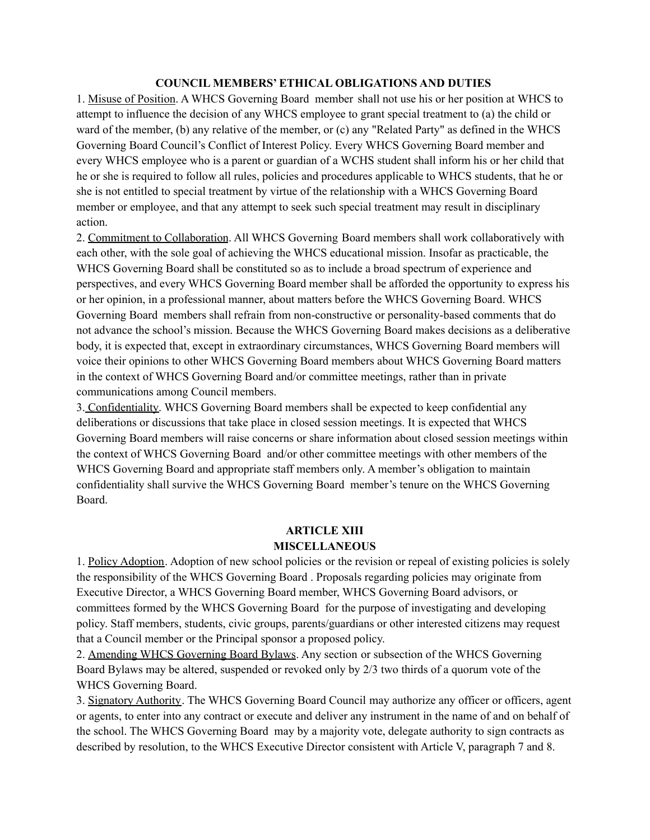### **COUNCIL MEMBERS' ETHICAL OBLIGATIONS AND DUTIES**

1. Misuse of Position. A WHCS Governing Board member shall not use his or her position at WHCS to attempt to influence the decision of any WHCS employee to grant special treatment to (a) the child or ward of the member, (b) any relative of the member, or (c) any "Related Party" as defined in the WHCS Governing Board Council's Conflict of Interest Policy. Every WHCS Governing Board member and every WHCS employee who is a parent or guardian of a WCHS student shall inform his or her child that he or she is required to follow all rules, policies and procedures applicable to WHCS students, that he or she is not entitled to special treatment by virtue of the relationship with a WHCS Governing Board member or employee, and that any attempt to seek such special treatment may result in disciplinary action.

2. Commitment to Collaboration. All WHCS Governing Board members shall work collaboratively with each other, with the sole goal of achieving the WHCS educational mission. Insofar as practicable, the WHCS Governing Board shall be constituted so as to include a broad spectrum of experience and perspectives, and every WHCS Governing Board member shall be afforded the opportunity to express his or her opinion, in a professional manner, about matters before the WHCS Governing Board. WHCS Governing Board members shall refrain from non-constructive or personality-based comments that do not advance the school's mission. Because the WHCS Governing Board makes decisions as a deliberative body, it is expected that, except in extraordinary circumstances, WHCS Governing Board members will voice their opinions to other WHCS Governing Board members about WHCS Governing Board matters in the context of WHCS Governing Board and/or committee meetings, rather than in private communications among Council members.

3. Confidentiality. WHCS Governing Board members shall be expected to keep confidential any deliberations or discussions that take place in closed session meetings. It is expected that WHCS Governing Board members will raise concerns or share information about closed session meetings within the context of WHCS Governing Board and/or other committee meetings with other members of the WHCS Governing Board and appropriate staff members only. A member's obligation to maintain confidentiality shall survive the WHCS Governing Board member's tenure on the WHCS Governing Board.

# **ARTICLE XIII MISCELLANEOUS**

1. Policy Adoption. Adoption of new school policies or the revision or repeal of existing policies is solely the responsibility of the WHCS Governing Board . Proposals regarding policies may originate from Executive Director, a WHCS Governing Board member, WHCS Governing Board advisors, or committees formed by the WHCS Governing Board for the purpose of investigating and developing policy. Staff members, students, civic groups, parents/guardians or other interested citizens may request that a Council member or the Principal sponsor a proposed policy.

2. Amending WHCS Governing Board Bylaws. Any section or subsection of the WHCS Governing Board Bylaws may be altered, suspended or revoked only by 2/3 two thirds of a quorum vote of the WHCS Governing Board.

3. Signatory Authority. The WHCS Governing Board Council may authorize any officer or officers, agent or agents, to enter into any contract or execute and deliver any instrument in the name of and on behalf of the school. The WHCS Governing Board may by a majority vote, delegate authority to sign contracts as described by resolution, to the WHCS Executive Director consistent with Article V, paragraph 7 and 8.